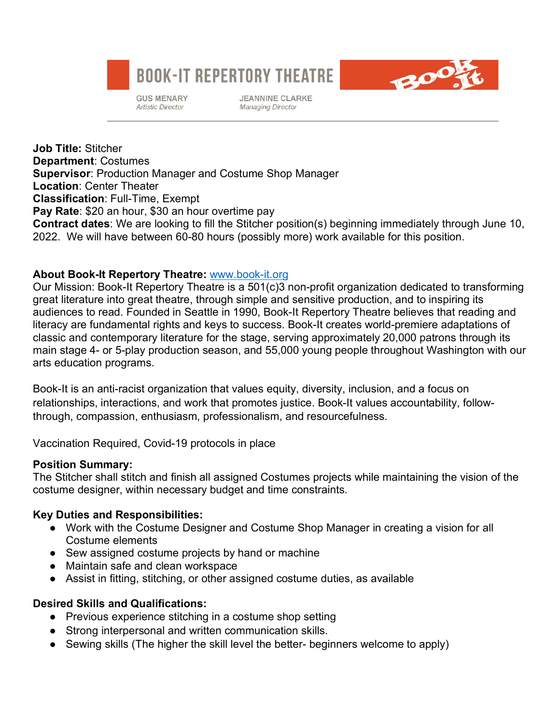# **BOOK-IT REPERTORY THEATRE**



**JEANNINE CLARKE Managing Director** 



**Job Title:** Stitcher **Department**: Costumes **Supervisor**: Production Manager and Costume Shop Manager **Location**: Center Theater **Classification**: Full-Time, Exempt **Pay Rate**: \$20 an hour, \$30 an hour overtime pay **Contract dates**: We are looking to fill the Stitcher position(s) beginning immediately through June 10, 2022. We will have between 60-80 hours (possibly more) work available for this position.

### **About Book-It Repertory Theatre:** www.book-it.org

Our Mission: Book-It Repertory Theatre is a 501(c)3 non-profit organization dedicated to transforming great literature into great theatre, through simple and sensitive production, and to inspiring its audiences to read. Founded in Seattle in 1990, Book-It Repertory Theatre believes that reading and literacy are fundamental rights and keys to success. Book-It creates world-premiere adaptations of classic and contemporary literature for the stage, serving approximately 20,000 patrons through its main stage 4- or 5-play production season, and 55,000 young people throughout Washington with our arts education programs.

Book-It is an anti-racist organization that values equity, diversity, inclusion, and a focus on relationships, interactions, and work that promotes justice. Book-It values accountability, followthrough, compassion, enthusiasm, professionalism, and resourcefulness.

Vaccination Required, Covid-19 protocols in place

#### **Position Summary:**

The Stitcher shall stitch and finish all assigned Costumes projects while maintaining the vision of the costume designer, within necessary budget and time constraints.

# **Key Duties and Responsibilities:**

- Work with the Costume Designer and Costume Shop Manager in creating a vision for all Costume elements
- Sew assigned costume projects by hand or machine
- Maintain safe and clean workspace
- Assist in fitting, stitching, or other assigned costume duties, as available

# **Desired Skills and Qualifications:**

- Previous experience stitching in a costume shop setting
- Strong interpersonal and written communication skills.
- Sewing skills (The higher the skill level the better- beginners welcome to apply)